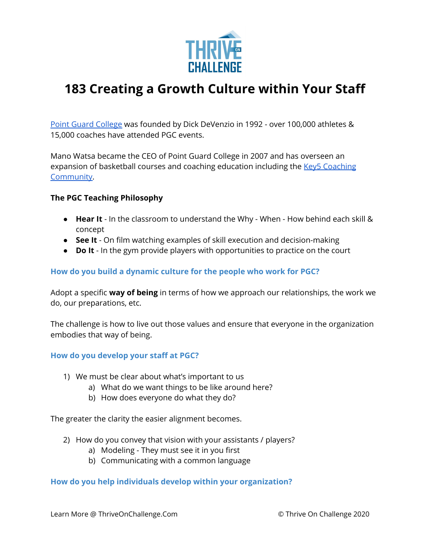

# **183 Creating a Growth Culture within Your Staff**

Point Guard [College](https://pgcbasketball.com/) was founded by Dick DeVenzio in 1992 - over 100,000 athletes & 15,000 coaches have attended PGC events.

Mano Watsa became the CEO of Point Guard College in 2007 and has overseen an expansion of basketball courses and coaching education including the Key5 [Coaching](https://key5coaching.pgcbasketball.com/) [Community.](https://key5coaching.pgcbasketball.com/)

## **The PGC Teaching Philosophy**

- **Hear It** In the classroom to understand the Why When How behind each skill & concept
- **See It** On film watching examples of skill execution and decision-making
- **Do It** In the gym provide players with opportunities to practice on the court

# **How do you build a dynamic culture for the people who work for PGC?**

Adopt a specific **way of being** in terms of how we approach our relationships, the work we do, our preparations, etc.

The challenge is how to live out those values and ensure that everyone in the organization embodies that way of being.

## **How do you develop your staff at PGC?**

- 1) We must be clear about what's important to us
	- a) What do we want things to be like around here?
	- b) How does everyone do what they do?

The greater the clarity the easier alignment becomes.

- 2) How do you convey that vision with your assistants / players?
	- a) Modeling They must see it in you first
	- b) Communicating with a common language

## **How do you help individuals develop within your organization?**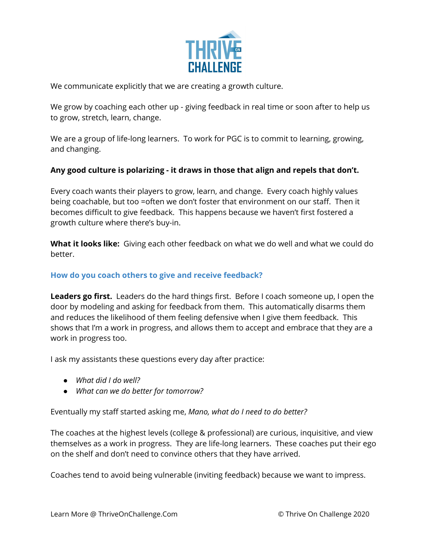

We communicate explicitly that we are creating a growth culture.

We grow by coaching each other up - giving feedback in real time or soon after to help us to grow, stretch, learn, change.

We are a group of life-long learners. To work for PGC is to commit to learning, growing, and changing.

## **Any good culture is polarizing - it draws in those that align and repels that don't.**

Every coach wants their players to grow, learn, and change. Every coach highly values being coachable, but too =often we don't foster that environment on our staff. Then it becomes difficult to give feedback. This happens because we haven't first fostered a growth culture where there's buy-in.

**What it looks like:** Giving each other feedback on what we do well and what we could do better.

## **How do you coach others to give and receive feedback?**

**Leaders go first.** Leaders do the hard things first. Before I coach someone up, I open the door by modeling and asking for feedback from them. This automatically disarms them and reduces the likelihood of them feeling defensive when I give them feedback. This shows that I'm a work in progress, and allows them to accept and embrace that they are a work in progress too.

I ask my assistants these questions every day after practice:

- *● What did I do well?*
- *● What can we do better for tomorrow?*

Eventually my staff started asking me, *Mano, what do I need to do better?*

The coaches at the highest levels (college & professional) are curious, inquisitive, and view themselves as a work in progress. They are life-long learners. These coaches put their ego on the shelf and don't need to convince others that they have arrived.

Coaches tend to avoid being vulnerable (inviting feedback) because we want to impress.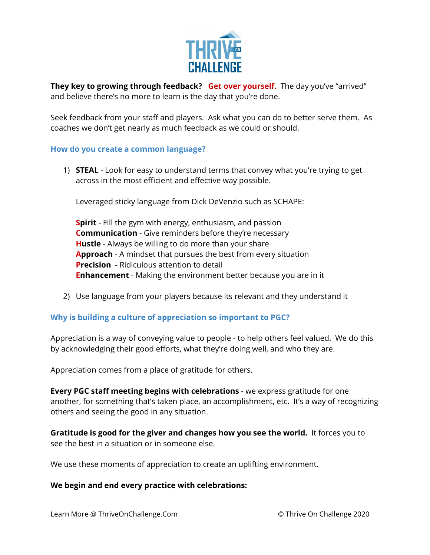

**They key to growing through feedback? Get over yourself.** The day you've "arrived" and believe there's no more to learn is the day that you're done.

Seek feedback from your staff and players. Ask what you can do to better serve them. As coaches we don't get nearly as much feedback as we could or should.

### **How do you create a common language?**

1) **STEAL** - Look for easy to understand terms that convey what you're trying to get across in the most efficient and effective way possible.

Leveraged sticky language from Dick DeVenzio such as SCHAPE:

**Spirit** - Fill the gym with energy, enthusiasm, and passion **Communication** - Give reminders before they're necessary **Hustle** - Always be willing to do more than your share **Approach** - A mindset that pursues the best from every situation **Precision** - Ridiculous attention to detail **Enhancement** - Making the environment better because you are in it

2) Use language from your players because its relevant and they understand it

## **Why is building a culture of appreciation so important to PGC?**

Appreciation is a way of conveying value to people - to help others feel valued. We do this by acknowledging their good efforts, what they're doing well, and who they are.

Appreciation comes from a place of gratitude for others.

**Every PGC staff meeting begins with celebrations** - we express gratitude for one another, for something that's taken place, an accomplishment, etc. It's a way of recognizing others and seeing the good in any situation.

**Gratitude is good for the giver and changes how you see the world.** It forces you to see the best in a situation or in someone else.

We use these moments of appreciation to create an uplifting environment.

#### **We begin and end every practice with celebrations:**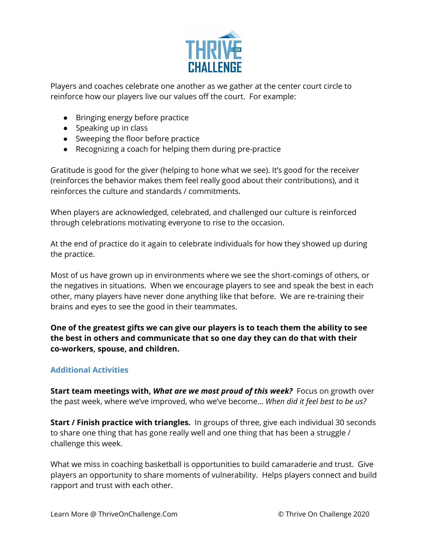

Players and coaches celebrate one another as we gather at the center court circle to reinforce how our players live our values off the court. For example:

- Bringing energy before practice
- Speaking up in class
- Sweeping the floor before practice
- Recognizing a coach for helping them during pre-practice

Gratitude is good for the giver (helping to hone what we see). It's good for the receiver (reinforces the behavior makes them feel really good about their contributions), and it reinforces the culture and standards / commitments.

When players are acknowledged, celebrated, and challenged our culture is reinforced through celebrations motivating everyone to rise to the occasion.

At the end of practice do it again to celebrate individuals for how they showed up during the practice.

Most of us have grown up in environments where we see the short-comings of others, or the negatives in situations. When we encourage players to see and speak the best in each other, many players have never done anything like that before. We are re-training their brains and eyes to see the good in their teammates.

**One of the greatest gifts we can give our players is to teach them the ability to see the best in others and communicate that so one day they can do that with their co-workers, spouse, and children.**

# **Additional Activities**

**Start team meetings with,** *What are we most proud of this week?* Focus on growth over the past week, where we've improved, who we've become… *When did it feel best to be us?*

**Start / Finish practice with triangles.** In groups of three, give each individual 30 seconds to share one thing that has gone really well and one thing that has been a struggle / challenge this week.

What we miss in coaching basketball is opportunities to build camaraderie and trust. Give players an opportunity to share moments of vulnerability. Helps players connect and build rapport and trust with each other.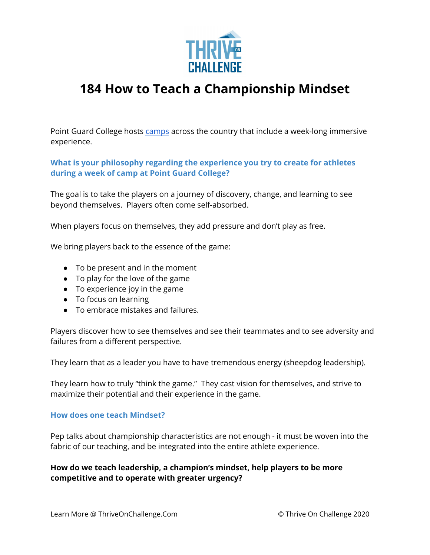

# **184 How to Teach a Championship Mindset**

Point Guard College hosts [camps](https://pgcbasketball.com/camps/) across the country that include a week-long immersive experience.

**What is your philosophy regarding the experience you try to create for athletes during a week of camp at Point Guard College?**

The goal is to take the players on a journey of discovery, change, and learning to see beyond themselves. Players often come self-absorbed.

When players focus on themselves, they add pressure and don't play as free.

We bring players back to the essence of the game:

- $\bullet$  To be present and in the moment
- To play for the love of the game
- To experience joy in the game
- To focus on learning
- To embrace mistakes and failures.

Players discover how to see themselves and see their teammates and to see adversity and failures from a different perspective.

They learn that as a leader you have to have tremendous energy (sheepdog leadership).

They learn how to truly "think the game." They cast vision for themselves, and strive to maximize their potential and their experience in the game.

## **How does one teach Mindset?**

Pep talks about championship characteristics are not enough - it must be woven into the fabric of our teaching, and be integrated into the entire athlete experience.

**How do we teach leadership, a champion's mindset, help players to be more competitive and to operate with greater urgency?**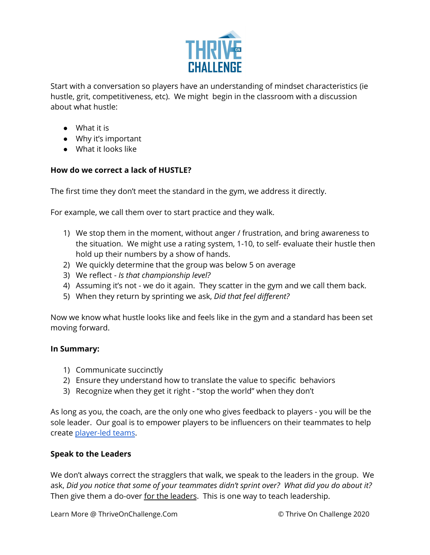

Start with a conversation so players have an understanding of mindset characteristics (ie hustle, grit, competitiveness, etc). We might begin in the classroom with a discussion about what hustle:

- What it is
- Why it's important
- What it looks like

# **How do we correct a lack of HUSTLE?**

The first time they don't meet the standard in the gym, we address it directly.

For example, we call them over to start practice and they walk.

- 1) We stop them in the moment, without anger / frustration, and bring awareness to the situation. We might use a rating system, 1-10, to self- evaluate their hustle then hold up their numbers by a show of hands.
- 2) We quickly determine that the group was below 5 on average
- 3) We reflect *Is that championship level?*
- 4) Assuming it's not we do it again. They scatter in the gym and we call them back.
- 5) When they return by sprinting we ask, *Did that feel different?*

Now we know what hustle looks like and feels like in the gym and a standard has been set moving forward.

# **In Summary:**

- 1) Communicate succinctly
- 2) Ensure they understand how to translate the value to specific behaviors
- 3) Recognize when they get it right "stop the world" when they don't

As long as you, the coach, are the only one who gives feedback to players - you will be the sole leader. Our goal is to empower players to be influencers on their teammates to help create [player-led](https://twitter.com/PGCbasketball/status/1374043782056869891?s=20) teams.

# **Speak to the Leaders**

We don't always correct the stragglers that walk, we speak to the leaders in the group. We ask, *Did you notice that some of your teammates didn't sprint over? What did you do about it?* Then give them a do-over for the leaders. This is one way to teach leadership.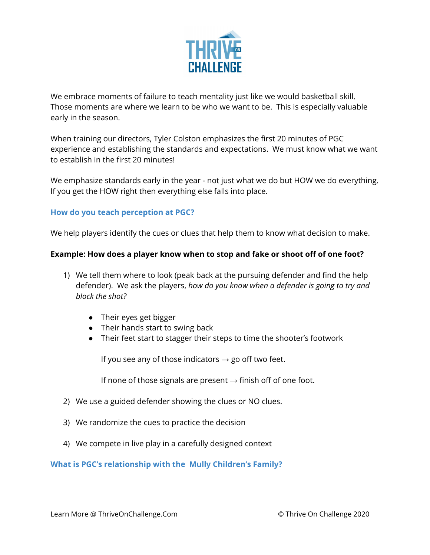

We embrace moments of failure to teach mentality just like we would basketball skill. Those moments are where we learn to be who we want to be. This is especially valuable early in the season.

When training our directors, Tyler Colston emphasizes the first 20 minutes of PGC experience and establishing the standards and expectations. We must know what we want to establish in the first 20 minutes!

We emphasize standards early in the year - not just what we do but HOW we do everything. If you get the HOW right then everything else falls into place.

## **How do you teach perception at PGC?**

We help players identify the cues or clues that help them to know what decision to make.

### **Example: How does a player know when to stop and fake or shoot off of one foot?**

- 1) We tell them where to look (peak back at the pursuing defender and find the help defender). We ask the players, *how do you know when a defender is going to try and block the shot?*
	- Their eyes get bigger
	- Their hands start to swing back
	- Their feet start to stagger their steps to time the shooter's footwork

If you see any of those indicators  $\rightarrow$  go off two feet.

If none of those signals are present  $\rightarrow$  finish off of one foot.

- 2) We use a guided defender showing the clues or NO clues.
- 3) We randomize the cues to practice the decision
- 4) We compete in live play in a carefully designed context

**What is PGC's relationship with the Mully Children's Family?**